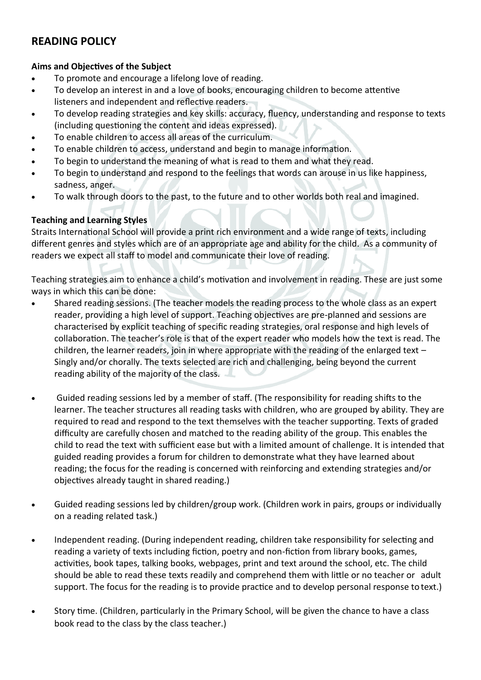# **READING POLICY**

### **Aims and Objectives of the Subject**

- To promote and encourage a lifelong love of reading.
- To develop an interest in and a love of books, encouraging children to become attentive listeners and independent and reflective readers.
- To develop reading strategies and key skills: accuracy, fluency, understanding and response to texts (including questioning the content and ideas expressed).
- To enable children to access all areas of the curriculum.
- To enable children to access, understand and begin to manage information.
- To begin to understand the meaning of what is read to them and what they read.
- To begin to understand and respond to the feelings that words can arouse in us like happiness, sadness, anger.
- To walk through doors to the past, to the future and to other worlds both real and imagined.

### **Teaching and Learning Styles**

Straits International School will provide a print rich environment and a wide range of texts, including different genres and styles which are of an appropriate age and ability for the child. As a community of readers we expect all staff to model and communicate their love of reading.

Teaching strategies aim to enhance a child's motivation and involvement in reading. These are just some ways in which this can be done:

- Shared reading sessions. (The teacher models the reading process to the whole class as an expert reader, providing a high level of support. Teaching objectives are pre-planned and sessions are characterised by explicit teaching of specific reading strategies, oral response and high levels of collaboration. The teacher's role is that of the expert reader who models how the text is read. The children, the learner readers, join in where appropriate with the reading of the enlarged text  $-$ Singly and/or chorally. The texts selected are rich and challenging, being beyond the current reading ability of the majority of the class.
- Guided reading sessions led by a member of staff. (The responsibility for reading shifts to the learner. The teacher structures all reading tasks with children, who are grouped by ability. They are required to read and respond to the text themselves with the teacher supporting. Texts of graded difficulty are carefully chosen and matched to the reading ability of the group. This enables the child to read the text with sufficient ease but with a limited amount of challenge. It is intended that guided reading provides a forum for children to demonstrate what they have learned about reading; the focus for the reading is concerned with reinforcing and extending strategies and/or objectives already taught in shared reading.)
- Guided reading sessions led by children/group work. (Children work in pairs, groups or individually on a reading related task.)
- Independent reading. (During independent reading, children take responsibility for selecting and reading a variety of texts including fiction, poetry and non-fiction from library books, games, activities, book tapes, talking books, webpages, print and text around the school, etc. The child should be able to read these texts readily and comprehend them with little or no teacher or adult support. The focus for the reading is to provide practice and to develop personal response to text.)
- Story time. (Children, particularly in the Primary School, will be given the chance to have a class book read to the class by the class teacher.)